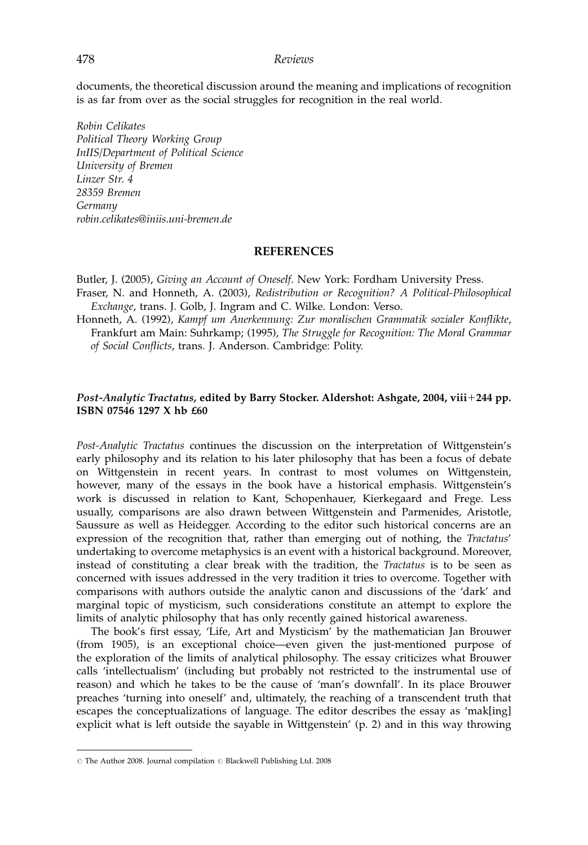# 478 Reviews

documents, the theoretical discussion around the meaning and implications of recognition is as far from over as the social struggles for recognition in the real world.

Robin Celikates Political Theory Working Group InIIS/Department of Political Science University of Bremen Linzer Str. 4 28359 Bremen Germany robin.celikates@iniis.uni-bremen.de

### **REFERENCES**

Butler, J. (2005), Giving an Account of Oneself. New York: Fordham University Press. Fraser, N. and Honneth, A. (2003), Redistribution or Recognition? A Political-Philosophical

Exchange, trans. J. Golb, J. Ingram and C. Wilke. London: Verso.

Honneth, A. (1992), Kampf um Anerkennung: Zur moralischen Grammatik sozialer Konflikte, Frankfurt am Main: Suhrkamp; (1995), The Struggle for Recognition: The Moral Grammar of Social Conflicts, trans. J. Anderson. Cambridge: Polity.

### Post-Analytic Tractatus, edited by Barry Stocker. Aldershot: Ashgate, 2004, viii*1*244 pp. ISBN 07546 1297 X hb £60

Post-Analytic Tractatus continues the discussion on the interpretation of Wittgenstein's early philosophy and its relation to his later philosophy that has been a focus of debate on Wittgenstein in recent years. In contrast to most volumes on Wittgenstein, however, many of the essays in the book have a historical emphasis. Wittgenstein's work is discussed in relation to Kant, Schopenhauer, Kierkegaard and Frege. Less usually, comparisons are also drawn between Wittgenstein and Parmenides, Aristotle, Saussure as well as Heidegger. According to the editor such historical concerns are an expression of the recognition that, rather than emerging out of nothing, the Tractatus' undertaking to overcome metaphysics is an event with a historical background. Moreover, instead of constituting a clear break with the tradition, the Tractatus is to be seen as concerned with issues addressed in the very tradition it tries to overcome. Together with comparisons with authors outside the analytic canon and discussions of the 'dark' and marginal topic of mysticism, such considerations constitute an attempt to explore the limits of analytic philosophy that has only recently gained historical awareness.

The book's first essay, 'Life, Art and Mysticism' by the mathematician Jan Brouwer (from 1905), is an exceptional choice—even given the just-mentioned purpose of the exploration of the limits of analytical philosophy. The essay criticizes what Brouwer calls 'intellectualism' (including but probably not restricted to the instrumental use of reason) and which he takes to be the cause of 'man's downfall'. In its place Brouwer preaches 'turning into oneself' and, ultimately, the reaching of a transcendent truth that escapes the conceptualizations of language. The editor describes the essay as 'mak[ing] explicit what is left outside the sayable in Wittgenstein' (p. 2) and in this way throwing

 $C$  The Author 2008. Journal compilation  $C$  Blackwell Publishing Ltd. 2008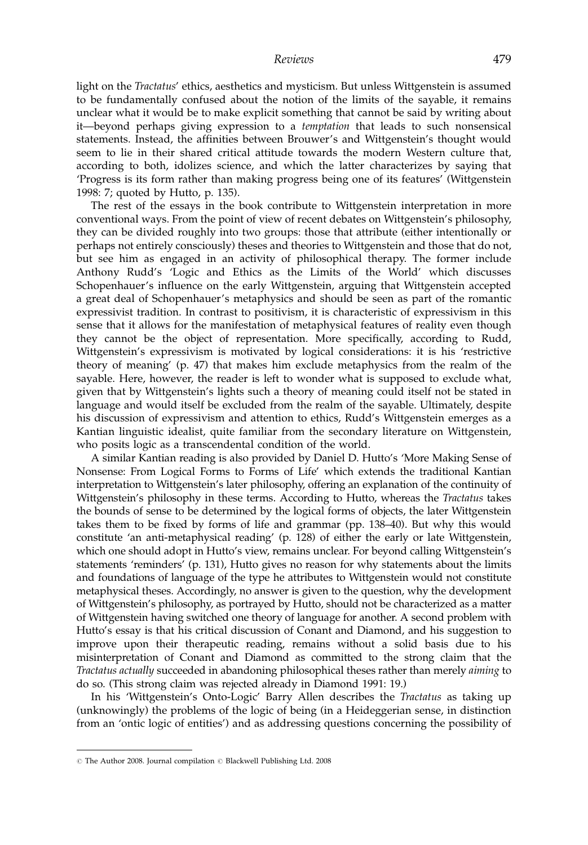## Reviews 479

light on the *Tractatus'* ethics, aesthetics and mysticism. But unless Wittgenstein is assumed to be fundamentally confused about the notion of the limits of the sayable, it remains unclear what it would be to make explicit something that cannot be said by writing about it—beyond perhaps giving expression to a temptation that leads to such nonsensical statements. Instead, the affinities between Brouwer's and Wittgenstein's thought would seem to lie in their shared critical attitude towards the modern Western culture that, according to both, idolizes science, and which the latter characterizes by saying that 'Progress is its form rather than making progress being one of its features' (Wittgenstein 1998: 7; quoted by Hutto, p. 135).

The rest of the essays in the book contribute to Wittgenstein interpretation in more conventional ways. From the point of view of recent debates on Wittgenstein's philosophy, they can be divided roughly into two groups: those that attribute (either intentionally or perhaps not entirely consciously) theses and theories to Wittgenstein and those that do not, but see him as engaged in an activity of philosophical therapy. The former include Anthony Rudd's 'Logic and Ethics as the Limits of the World' which discusses Schopenhauer's influence on the early Wittgenstein, arguing that Wittgenstein accepted a great deal of Schopenhauer's metaphysics and should be seen as part of the romantic expressivist tradition. In contrast to positivism, it is characteristic of expressivism in this sense that it allows for the manifestation of metaphysical features of reality even though they cannot be the object of representation. More specifically, according to Rudd, Wittgenstein's expressivism is motivated by logical considerations: it is his 'restrictive theory of meaning' (p. 47) that makes him exclude metaphysics from the realm of the sayable. Here, however, the reader is left to wonder what is supposed to exclude what, given that by Wittgenstein's lights such a theory of meaning could itself not be stated in language and would itself be excluded from the realm of the sayable. Ultimately, despite his discussion of expressivism and attention to ethics, Rudd's Wittgenstein emerges as a Kantian linguistic idealist, quite familiar from the secondary literature on Wittgenstein, who posits logic as a transcendental condition of the world.

A similar Kantian reading is also provided by Daniel D. Hutto's 'More Making Sense of Nonsense: From Logical Forms to Forms of Life' which extends the traditional Kantian interpretation to Wittgenstein's later philosophy, offering an explanation of the continuity of Wittgenstein's philosophy in these terms. According to Hutto, whereas the Tractatus takes the bounds of sense to be determined by the logical forms of objects, the later Wittgenstein takes them to be fixed by forms of life and grammar (pp. 138–40). But why this would constitute 'an anti-metaphysical reading' (p. 128) of either the early or late Wittgenstein, which one should adopt in Hutto's view, remains unclear. For beyond calling Wittgenstein's statements 'reminders' (p. 131), Hutto gives no reason for why statements about the limits and foundations of language of the type he attributes to Wittgenstein would not constitute metaphysical theses. Accordingly, no answer is given to the question, why the development of Wittgenstein's philosophy, as portrayed by Hutto, should not be characterized as a matter of Wittgenstein having switched one theory of language for another. A second problem with Hutto's essay is that his critical discussion of Conant and Diamond, and his suggestion to improve upon their therapeutic reading, remains without a solid basis due to his misinterpretation of Conant and Diamond as committed to the strong claim that the Tractatus actually succeeded in abandoning philosophical theses rather than merely aiming to do so. (This strong claim was rejected already in Diamond 1991: 19.)

In his 'Wittgenstein's Onto-Logic' Barry Allen describes the Tractatus as taking up (unknowingly) the problems of the logic of being (in a Heideggerian sense, in distinction from an 'ontic logic of entities') and as addressing questions concerning the possibility of

 $C$  The Author 2008. Journal compilation  $C$  Blackwell Publishing Ltd. 2008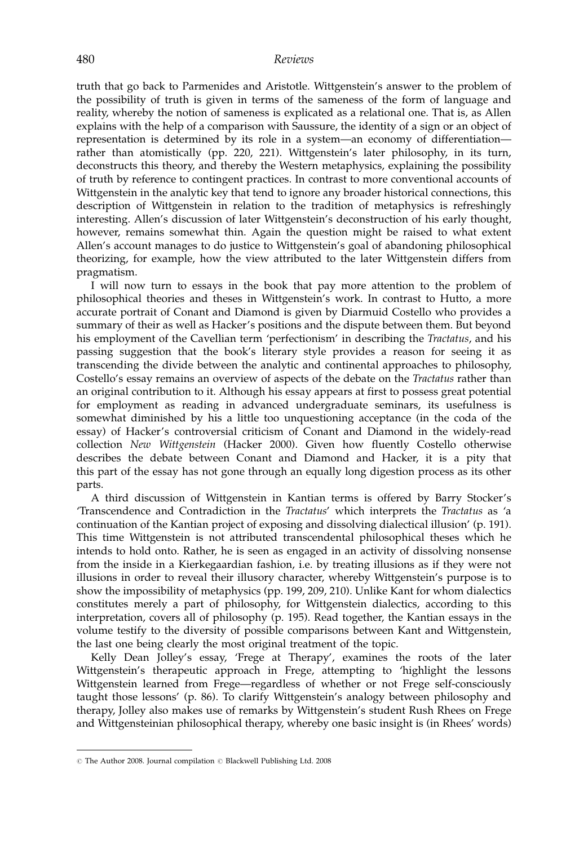truth that go back to Parmenides and Aristotle. Wittgenstein's answer to the problem of the possibility of truth is given in terms of the sameness of the form of language and reality, whereby the notion of sameness is explicated as a relational one. That is, as Allen explains with the help of a comparison with Saussure, the identity of a sign or an object of representation is determined by its role in a system—an economy of differentiation rather than atomistically (pp. 220, 221). Wittgenstein's later philosophy, in its turn, deconstructs this theory, and thereby the Western metaphysics, explaining the possibility of truth by reference to contingent practices. In contrast to more conventional accounts of Wittgenstein in the analytic key that tend to ignore any broader historical connections, this description of Wittgenstein in relation to the tradition of metaphysics is refreshingly interesting. Allen's discussion of later Wittgenstein's deconstruction of his early thought, however, remains somewhat thin. Again the question might be raised to what extent Allen's account manages to do justice to Wittgenstein's goal of abandoning philosophical theorizing, for example, how the view attributed to the later Wittgenstein differs from pragmatism.

I will now turn to essays in the book that pay more attention to the problem of philosophical theories and theses in Wittgenstein's work. In contrast to Hutto, a more accurate portrait of Conant and Diamond is given by Diarmuid Costello who provides a summary of their as well as Hacker's positions and the dispute between them. But beyond his employment of the Cavellian term 'perfectionism' in describing the Tractatus, and his passing suggestion that the book's literary style provides a reason for seeing it as transcending the divide between the analytic and continental approaches to philosophy, Costello's essay remains an overview of aspects of the debate on the Tractatus rather than an original contribution to it. Although his essay appears at first to possess great potential for employment as reading in advanced undergraduate seminars, its usefulness is somewhat diminished by his a little too unquestioning acceptance (in the coda of the essay) of Hacker's controversial criticism of Conant and Diamond in the widely-read collection New Wittgenstein (Hacker 2000). Given how fluently Costello otherwise describes the debate between Conant and Diamond and Hacker, it is a pity that this part of the essay has not gone through an equally long digestion process as its other parts.

A third discussion of Wittgenstein in Kantian terms is offered by Barry Stocker's 'Transcendence and Contradiction in the Tractatus' which interprets the Tractatus as 'a continuation of the Kantian project of exposing and dissolving dialectical illusion' (p. 191). This time Wittgenstein is not attributed transcendental philosophical theses which he intends to hold onto. Rather, he is seen as engaged in an activity of dissolving nonsense from the inside in a Kierkegaardian fashion, i.e. by treating illusions as if they were not illusions in order to reveal their illusory character, whereby Wittgenstein's purpose is to show the impossibility of metaphysics (pp. 199, 209, 210). Unlike Kant for whom dialectics constitutes merely a part of philosophy, for Wittgenstein dialectics, according to this interpretation, covers all of philosophy (p. 195). Read together, the Kantian essays in the volume testify to the diversity of possible comparisons between Kant and Wittgenstein, the last one being clearly the most original treatment of the topic.

Kelly Dean Jolley's essay, 'Frege at Therapy', examines the roots of the later Wittgenstein's therapeutic approach in Frege, attempting to 'highlight the lessons Wittgenstein learned from Frege—regardless of whether or not Frege self-consciously taught those lessons' (p. 86). To clarify Wittgenstein's analogy between philosophy and therapy, Jolley also makes use of remarks by Wittgenstein's student Rush Rhees on Frege and Wittgensteinian philosophical therapy, whereby one basic insight is (in Rhees' words)

 $C$  The Author 2008. Journal compilation  $C$  Blackwell Publishing Ltd. 2008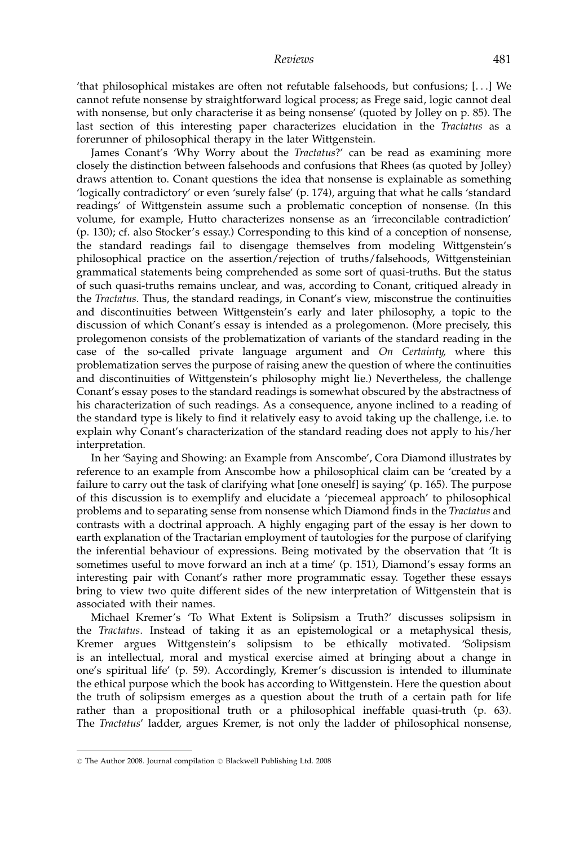## Reviews 481

'that philosophical mistakes are often not refutable falsehoods, but confusions; [. . .] We cannot refute nonsense by straightforward logical process; as Frege said, logic cannot deal with nonsense, but only characterise it as being nonsense' (quoted by Jolley on p. 85). The last section of this interesting paper characterizes elucidation in the Tractatus as a forerunner of philosophical therapy in the later Wittgenstein.

James Conant's 'Why Worry about the Tractatus?' can be read as examining more closely the distinction between falsehoods and confusions that Rhees (as quoted by Jolley) draws attention to. Conant questions the idea that nonsense is explainable as something 'logically contradictory' or even 'surely false' (p. 174), arguing that what he calls 'standard readings' of Wittgenstein assume such a problematic conception of nonsense. (In this volume, for example, Hutto characterizes nonsense as an 'irreconcilable contradiction' (p. 130); cf. also Stocker's essay.) Corresponding to this kind of a conception of nonsense, the standard readings fail to disengage themselves from modeling Wittgenstein's philosophical practice on the assertion/rejection of truths/falsehoods, Wittgensteinian grammatical statements being comprehended as some sort of quasi-truths. But the status of such quasi-truths remains unclear, and was, according to Conant, critiqued already in the Tractatus. Thus, the standard readings, in Conant's view, misconstrue the continuities and discontinuities between Wittgenstein's early and later philosophy, a topic to the discussion of which Conant's essay is intended as a prolegomenon. (More precisely, this prolegomenon consists of the problematization of variants of the standard reading in the case of the so-called private language argument and On Certainty, where this problematization serves the purpose of raising anew the question of where the continuities and discontinuities of Wittgenstein's philosophy might lie.) Nevertheless, the challenge Conant's essay poses to the standard readings is somewhat obscured by the abstractness of his characterization of such readings. As a consequence, anyone inclined to a reading of the standard type is likely to find it relatively easy to avoid taking up the challenge, i.e. to explain why Conant's characterization of the standard reading does not apply to his/her interpretation.

In her 'Saying and Showing: an Example from Anscombe', Cora Diamond illustrates by reference to an example from Anscombe how a philosophical claim can be 'created by a failure to carry out the task of clarifying what [one oneself] is saying' (p. 165). The purpose of this discussion is to exemplify and elucidate a 'piecemeal approach' to philosophical problems and to separating sense from nonsense which Diamond finds in the Tractatus and contrasts with a doctrinal approach. A highly engaging part of the essay is her down to earth explanation of the Tractarian employment of tautologies for the purpose of clarifying the inferential behaviour of expressions. Being motivated by the observation that 'It is sometimes useful to move forward an inch at a time' (p. 151), Diamond's essay forms an interesting pair with Conant's rather more programmatic essay. Together these essays bring to view two quite different sides of the new interpretation of Wittgenstein that is associated with their names.

Michael Kremer's 'To What Extent is Solipsism a Truth?' discusses solipsism in the Tractatus. Instead of taking it as an epistemological or a metaphysical thesis, Kremer argues Wittgenstein's solipsism to be ethically motivated. 'Solipsism is an intellectual, moral and mystical exercise aimed at bringing about a change in one's spiritual life' (p. 59). Accordingly, Kremer's discussion is intended to illuminate the ethical purpose which the book has according to Wittgenstein. Here the question about the truth of solipsism emerges as a question about the truth of a certain path for life rather than a propositional truth or a philosophical ineffable quasi-truth (p. 63). The Tractatus' ladder, argues Kremer, is not only the ladder of philosophical nonsense,

 $C$  The Author 2008. Journal compilation  $C$  Blackwell Publishing Ltd. 2008